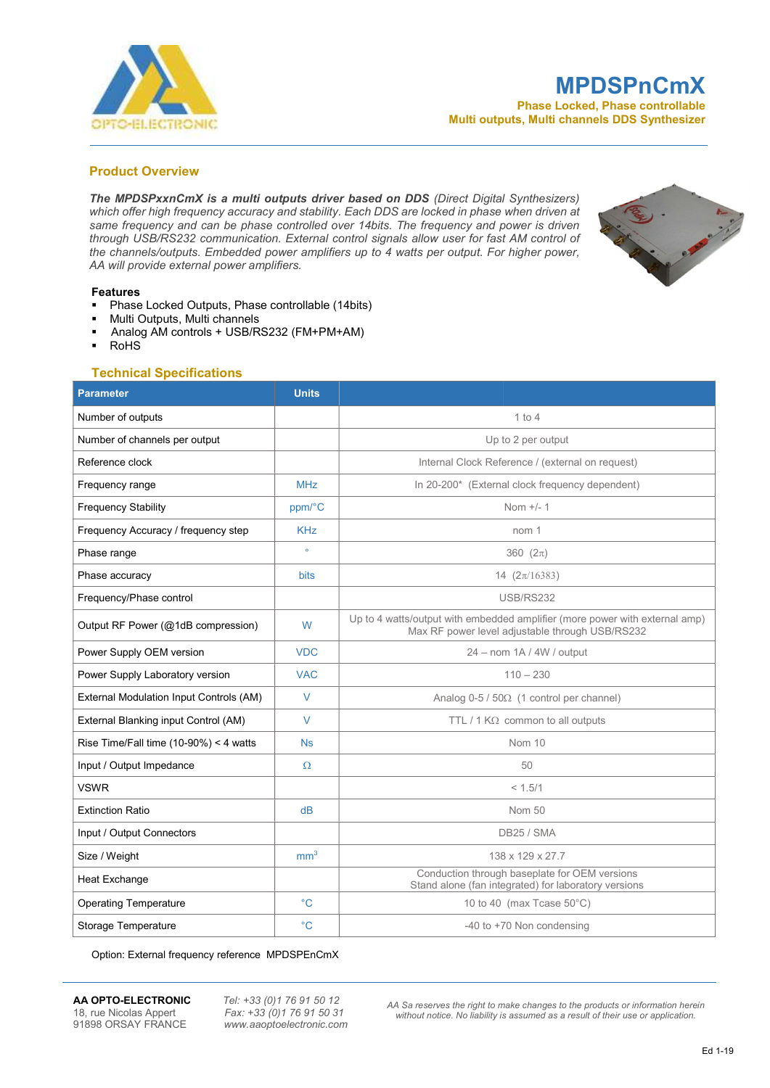

# MPDSPnCmX

Phase Locked, Phase controllable Multi outputs, Multi channels DDS Synthesizer

## Product Overview

The MPDSPxxnCmX is a multi outputs driver based on DDS (Direct Digital Synthesizers) which offer high frequency accuracy and stability. Each DDS are locked in phase when driven at same frequency and can be phase controlled over 14bits. The frequency and power is driven through USB/RS232 communication. External control signals allow user for fast AM control of the channels/outputs. Embedded power amplifiers up to 4 watts per output. For higher power, AA will provide external power amplifiers.



#### Features

- Phase Locked Outputs, Phase controllable (14bits)
- Multi Outputs, Multi channels
- Analog AM controls + USB/RS232 (FM+PM+AM)
- RoHS

### Technical Specifications

| <b>Parameter</b>                         | <b>Units</b>    |                                                                                                                                |  |  |
|------------------------------------------|-----------------|--------------------------------------------------------------------------------------------------------------------------------|--|--|
| Number of outputs                        |                 | $1$ to $4$                                                                                                                     |  |  |
| Number of channels per output            |                 | Up to 2 per output                                                                                                             |  |  |
| Reference clock                          |                 | Internal Clock Reference / (external on request)                                                                               |  |  |
| Frequency range                          | <b>MHz</b>      | In 20-200* (External clock frequency dependent)                                                                                |  |  |
| <b>Frequency Stability</b>               | ppm/°C          | Nom $+/- 1$                                                                                                                    |  |  |
| Frequency Accuracy / frequency step      | <b>KHz</b>      | nom 1                                                                                                                          |  |  |
| Phase range                              | $\circ$         | 360 $(2\pi)$                                                                                                                   |  |  |
| Phase accuracy                           | <b>bits</b>     | 14 $(2\pi/16383)$                                                                                                              |  |  |
| Frequency/Phase control                  |                 | <b>USB/RS232</b>                                                                                                               |  |  |
| Output RF Power (@1dB compression)       | W               | Up to 4 watts/output with embedded amplifier (more power with external amp)<br>Max RF power level adjustable through USB/RS232 |  |  |
| Power Supply OEM version                 | <b>VDC</b>      | 24 - nom 1A / 4W / output                                                                                                      |  |  |
| Power Supply Laboratory version          | <b>VAC</b>      | $110 - 230$                                                                                                                    |  |  |
| External Modulation Input Controls (AM)  | $\vee$          | Analog $0-5/50\Omega$ (1 control per channel)                                                                                  |  |  |
| External Blanking input Control (AM)     | $\vee$          | TTL / 1 $K\Omega$ common to all outputs                                                                                        |  |  |
| Rise Time/Fall time $(10-90%) < 4$ watts | <b>Ns</b>       | Nom 10                                                                                                                         |  |  |
| Input / Output Impedance                 | $\Omega$        | 50                                                                                                                             |  |  |
| <b>VSWR</b>                              |                 | < 1.5/1                                                                                                                        |  |  |
| <b>Extinction Ratio</b>                  | dB              | Nom 50                                                                                                                         |  |  |
| Input / Output Connectors                |                 | DB25 / SMA                                                                                                                     |  |  |
| Size / Weight                            | mm <sup>3</sup> | 138 x 129 x 27.7                                                                                                               |  |  |
| Heat Exchange                            |                 | Conduction through baseplate for OEM versions<br>Stand alone (fan integrated) for laboratory versions                          |  |  |
| <b>Operating Temperature</b>             | $^{\circ}C$     | 10 to 40 (max Tcase 50°C)                                                                                                      |  |  |
| Storage Temperature                      | $^{\circ}C$     | -40 to +70 Non condensing                                                                                                      |  |  |

Option: External frequency reference MPDSPEnCmX

**AA OPTO-ELECTRONIC** Tel: +33 (0)1 76 91 50 12<br>18, rue Nicolas Appert Fax: +33 (0)1 76 91 50 31 18, rue Nicolas Appert Fax: +33 (0)1 76 91 50 31<br>91898 ORSAY FRANCE www.aaoptoelectronic.com

www.aaoptoelectronic.com

AA Sa reserves the right to make changes to the products or information herein without notice. No liability is assumed as a result of their use or application.